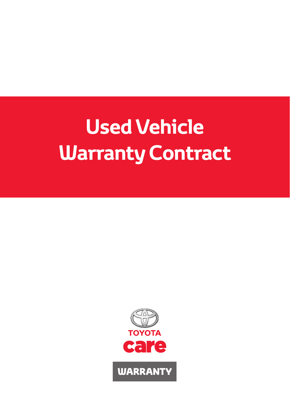# **Used Vehicle Warranty Contract**

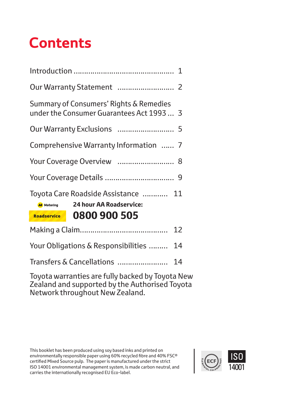# **Contents**

| Summary of Consumers' Rights & Remedies<br>under the Consumer Guarantees Act 1993 3                |  |  |  |  |
|----------------------------------------------------------------------------------------------------|--|--|--|--|
|                                                                                                    |  |  |  |  |
| Comprehensive Warranty Information  7                                                              |  |  |  |  |
| Your Coverage Overview  8                                                                          |  |  |  |  |
|                                                                                                    |  |  |  |  |
| Toyota Care Roadside Assistance  11<br><b>24 hour AA Roadservice:</b><br><b>AA</b> Motoring        |  |  |  |  |
| 0800 900 505<br>Roadservice                                                                        |  |  |  |  |
| 12                                                                                                 |  |  |  |  |
| Your Obligations & Responsibilities<br>14                                                          |  |  |  |  |
| Transfers & Cancellations<br>14                                                                    |  |  |  |  |
| Toyota warranties are fully backed by Toyota New<br>Zoaland and supported by the Authorized Toyota |  |  |  |  |

Zealand and supported by the Authorised Toyota Network throughout New Zealand.

This booklet has been produced using soy based inks and printed on environmentally responsible paper using 60% recycled fibre and 40% FSC® certified Mixed Source pulp. The paper is manufactured under the strict ISO 14001 environmental management system, is made carbon neutral, and carries the internationally recognised EU Eco-label.

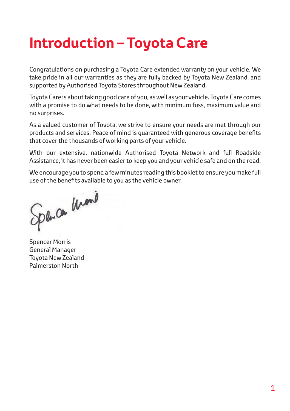# **Introduction – Toyota Care**

Congratulations on purchasing a Toyota Care extended warranty on your vehicle. We take pride in all our warranties as they are fully backed by Toyota New Zealand, and supported by Authorised Toyota Stores throughout New Zealand.

Toyota Care is about taking good care of you, as well as your vehicle. Toyota Care comes with a promise to do what needs to be done, with minimum fuss, maximum value and no surprises.

As a valued customer of Toyota, we strive to ensure your needs are met through our products and services. Peace of mind is guaranteed with generous coverage benefits that cover the thousands of working parts of your vehicle.

With our extensive, nationwide Authorised Toyota Network and full Roadside Assistance, it has never been easier to keep you and your vehicle safe and on the road.

We encourage you to spend a few minutes reading this booklet to ensure you make full use of the benefits available to you as the vehicle owner.

Spence Mond

Spencer Morris General Manager Toyota New Zealand Palmerston North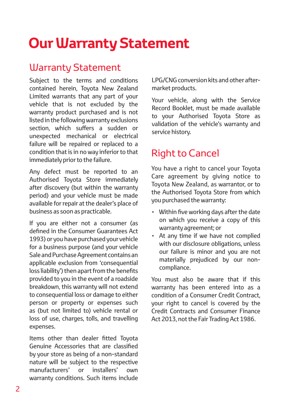# **Our Warranty Statement**

## Warranty Statement

Subject to the terms and conditions contained herein, Toyota New Zealand Limited warrants that any part of your vehicle that is not excluded by the warranty product purchased and is not listed in the following warranty exclusions section, which suffers a sudden or unexpected mechanical or electrical failure will be repaired or replaced to a condition that is in no way inferior to that immediately prior to the failure.

Any defect must be reported to an Authorised Toyota Store immediately after discovery (but within the warranty period) and your vehicle must be made available for repair at the dealer's place of business as soon as practicable.

If you are either not a consumer (as defined in the Consumer Guarantees Act 1993) or you have purchased your vehicle for a business purpose (and your vehicle Sale and Purchase Agreement contains an applicable exclusion from 'consequential loss liability') then apart from the benefits provided to you in the event of a roadside breakdown, this warranty will not extend to consequential loss or damage to either person or property or expenses such as (but not limited to) vehicle rental or loss of use, charges, tolls, and travelling expenses.

Items other than dealer fitted Toyota Genuine Accessories that are classified by your store as being of a non-standard nature will be subject to the respective manufacturers' or installers' own warranty conditions. Such items include LPG/CNG conversion kits and other aftermarket products.

Your vehicle, along with the Service Record Booklet, must be made available to your Authorised Toyota Store as validation of the vehicle's warranty and service history.

## Right to Cancel

You have a right to cancel your Toyota Care agreement by giving notice to Toyota New Zealand, as warrantor, or to the Authorised Toyota Store from which you purchased the warranty:

- Within five working days after the date on which you receive a copy of this warranty agreement; or
- At any time if we have not complied with our disclosure obligations, unless our failure is minor and you are not materially prejudiced by our noncompliance.

You must also be aware that if this warranty has been entered into as a condition of a Consumer Credit Contract, your right to cancel is covered by the Credit Contracts and Consumer Finance Act 2013, not the Fair Trading Act 1986.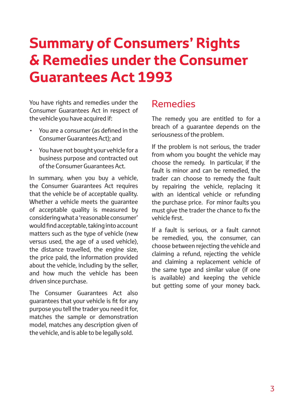# **Summary of Consumers' Rights & Remedies under the Consumer Guarantees Act 1993**

You have rights and remedies under the Consumer Guarantees Act in respect of the vehicle you have acquired if:

- You are a consumer (as defined in the Consumer Guarantees Act); and
- You have not bought your vehicle for a business purpose and contracted out of the Consumer Guarantees Act.

In summary, when you buy a vehicle, the Consumer Guarantees Act requires that the vehicle be of acceptable quality. Whether a vehicle meets the guarantee of acceptable quality is measured by considering what a 'reasonable consumer' would find acceptable, taking into account matters such as the type of vehicle (new versus used, the age of a used vehicle), the distance travelled, the engine size, the price paid, the information provided about the vehicle, including by the seller, and how much the vehicle has been driven since purchase.

The Consumer Guarantees Act also guarantees that your vehicle is fit for any purpose you tell the trader you need it for, matches the sample or demonstration model, matches any description given of the vehicle, and is able to be legally sold.

## Remedies

The remedy you are entitled to for a breach of a guarantee depends on the seriousness of the problem.

If the problem is not serious, the trader from whom you bought the vehicle may choose the remedy. In particular, if the fault is minor and can be remedied, the trader can choose to remedy the fault by repairing the vehicle, replacing it with an identical vehicle or refunding the purchase price. For minor faults you must give the trader the chance to fix the vehicle first.

If a fault is serious, or a fault cannot be remedied, you, the consumer, can choose between rejecting the vehicle and claiming a refund, rejecting the vehicle and claiming a replacement vehicle of the same type and similar value (if one is available) and keeping the vehicle but getting some of your money back.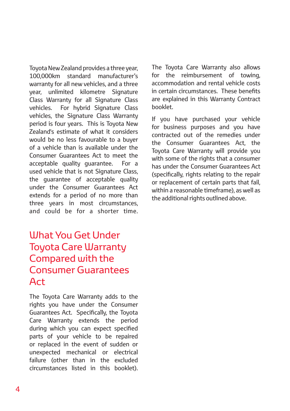Toyota New Zealand provides a three year, 100,000km standard manufacturer's warranty for all new vehicles, and a three year, unlimited kilometre Signature Class Warranty for all Signature Class vehicles. For hybrid Signature Class vehicles, the Signature Class Warranty period is four years. This is Toyota New Zealand's estimate of what it considers would be no less favourable to a buyer of a vehicle than is available under the Consumer Guarantees Act to meet the acceptable quality guarantee. For a used vehicle that is not Signature Class, the guarantee of acceptable quality under the Consumer Guarantees Act extends for a period of no more than three years in most circumstances, and could be for a shorter time.

## What You Get Under Toyota Care Warranty Compared with the Consumer Guarantees Act

The Toyota Care Warranty adds to the rights you have under the Consumer Guarantees Act. Specifically, the Toyota Care Warranty extends the period during which you can expect specified parts of your vehicle to be repaired or replaced in the event of sudden or unexpected mechanical or electrical failure (other than in the excluded circumstances listed in this booklet).

The Toyota Care Warranty also allows for the reimbursement of towing, accommodation and rental vehicle costs in certain circumstances. These benefits are explained in this Warranty Contract booklet.

If you have purchased your vehicle for business purposes and you have contracted out of the remedies under the Consumer Guarantees Act, the Toyota Care Warranty will provide you with some of the rights that a consumer has under the Consumer Guarantees Act (specifically, rights relating to the repair or replacement of certain parts that fail, within a reasonable timeframe), as well as the additional rights outlined above.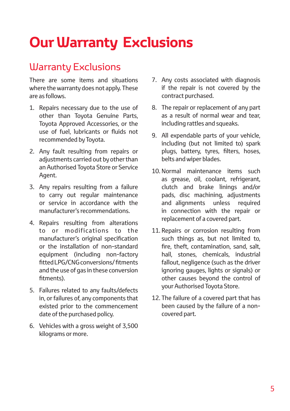# **Our Warranty Exclusions**

## Warranty Exclusions

There are some items and situations where the warranty does not apply. These are as follows.

- 1. Repairs necessary due to the use of other than Toyota Genuine Parts, Toyota Approved Accessories, or the use of fuel, lubricants or fluids not recommended by Toyota.
- 2. Any fault resulting from repairs or adjustments carried out by other than an Authorised Toyota Store or Service Agent.
- 3. Any repairs resulting from a failure to carry out regular maintenance or service in accordance with the manufacturer's recommendations.
- 4. Repairs resulting from alterations to or modifications to the manufacturer's original specification or the installation of non-standard equipment (including non-factory fitted LPG/CNG conversions/ fitments and the use of gas in these conversion fitments).
- 5. Failures related to any faults/defects in, or failures of, any components that existed prior to the commencement date of the purchased policy.
- 6. Vehicles with a gross weight of 3,500 kilograms or more.
- 7. Any costs associated with diagnosis if the repair is not covered by the contract purchased.
- 8. The repair or replacement of any part as a result of normal wear and tear, including rattles and squeaks.
- 9. All expendable parts of your vehicle, including (but not limited to) spark plugs, battery, tyres, filters, hoses, belts and wiper blades.
- 10. Normal maintenance items such as grease, oil, coolant, refrigerant, clutch and brake linings and/or pads, disc machining, adjustments and alignments unless required in connection with the repair or replacement of a covered part.
- 11. Repairs or corrosion resulting from such things as, but not limited to, fire, theft, contamination, sand, salt, hail, stones, chemicals, industrial fallout, negligence (such as the driver ignoring gauges, lights or signals) or other causes beyond the control of your Authorised Toyota Store.
- 12. The failure of a covered part that has been caused by the failure of a noncovered part.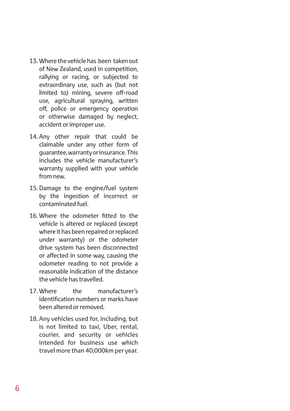- 13. Where the vehicle has been taken out of New Zealand, used in competition, rallying or racing, or subjected to extraordinary use, such as (but not limited to) mining, severe off-road use, agricultural spraying, written off, police or emergency operation or otherwise damaged by neglect, accident or improper use.
- 14. Any other repair that could be claimable under any other form of guarantee, warranty or insurance. This includes the vehicle manufacturer's warranty supplied with your vehicle from new.
- 15. Damage to the engine/fuel system by the ingestion of incorrect or contaminated fuel.
- 16. Where the odometer fitted to the vehicle is altered or replaced (except where it has been repaired or replaced under warranty) or the odometer drive system has been disconnected or affected in some way, causing the odometer reading to not provide a reasonable indication of the distance the vehicle has travelled.
- 17. Where the manufacturer's identification numbers or marks have been altered or removed.
- 18. Any vehicles used for, including, but is not limited to taxi, Uber, rental, courier, and security or vehicles intended for business use which travel more than 40,000km per year.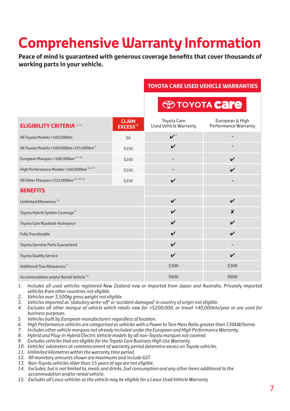# **Comprehensive Warranty Information**

**Peace of mind is guaranteed with generous coverage benefits that cover thousands of working parts in your vehicle.** 

### **TOYOTA CARE USED VEHICLE WARRANTIES**

|                                                       |                                     | <b>EXPRESS TO YOTA Care</b>                        |                                                |
|-------------------------------------------------------|-------------------------------------|----------------------------------------------------|------------------------------------------------|
| <b>ELIGIBILITY CRITERIA 1.2.3</b>                     | <b>CLAIM</b><br>EXCES <sup>10</sup> | <b>Toyota Care</b><br><b>Used Vehicle Warranty</b> | European & High<br><b>Performance Warranty</b> |
| All Toyota Models <160,000km                          | \$0                                 | $\boldsymbol{v}$ <sup>9</sup>                      |                                                |
| All Toyota Models > 160,000km-225,000km <sup>4</sup>  | \$150                               | V                                                  |                                                |
| European Marques <160,000km <sup>4,5,13</sup>         | \$250                               |                                                    | $\boldsymbol{\nu}$                             |
| High Performance Models < 160,000km <sup>4,6,13</sup> | \$250                               |                                                    | $\boldsymbol{\nu}$                             |
| All Other Marques < 225,000km <sup>4,7,13,15</sup>    | \$250                               | V                                                  |                                                |
| <b>BENEFITS</b>                                       |                                     |                                                    |                                                |
| Unlimited Kilometres <sup>11</sup>                    |                                     | $\checkmark$                                       | $\mathbf{v}$                                   |
| Toyota Hybrid System Coverage <sup>8</sup>            |                                     | $\boldsymbol{\nu}$                                 | $\boldsymbol{x}$                               |
| Toyota Care Roadside Assistance                       |                                     | $\checkmark$                                       | $\boldsymbol{\nu}$                             |
| <b>Fully Transferable</b>                             |                                     | V                                                  | $\mathbf{v}$                                   |
| <b>Toyota Genuine Parts Guaranteed</b>                |                                     | V                                                  |                                                |
| <b>Toyota Quality Service</b>                         |                                     | V                                                  | $\boldsymbol{\nu}$                             |
| <b>Additional Tow Allowances<sup>5</sup></b>          |                                     | \$300                                              | \$300                                          |
| Accommodation and/or Rental Vehicle <sup>14</sup>     |                                     | \$600                                              | \$600                                          |

- *1. Includes all used vehicles registered New Zealand new or imported from Japan and Australia. Privately imported vehicles from other countries not eligible.*
- *2. Vehicles over 3,500kg gross weight not eligible.*
- *3. Vehicles imported as 'statutory write-off' or 'accident damaged' in country of origin not eligible.*
- *4. Excludes all other marque of vehicle which retails new for >\$200,000, or travel >40,000km/year or are used for business purposes.*
- *5. Vehicles built by European manufacturers regardless of location.*
- *6. High Performance vehicles are categorised as vehicles with a Power to Tare Mass Ratio greater than 130kW/tonne.*
- *7. Includes other vehicle marques not already included under the European and High Performance Warranty.*
- *8. Hybrid and Plug-In Hybrid Electric Vehicle models by all non-Toyota marques not covered.*
- *9. Excludes vehicles that are eligible for the Toyota Care Business High Use Warranty.*
- *10. Vehicles' odometers at commencement of warranty period determine excess on Toyota vehicles.*
- *11. Unlimited kilometres within the warranty time period.*
- *12. All monetary amounts shown are maximums and include GST.*
- *13. Non-Toyota vehicles older than 15 years of age are not eligible.*
- *14. Excludes; but is not limited to, meals and drinks, fuel consumption and any other items additional to the accommodation and/or rental vehicle.*
- *15. Excludes all Lexus vehicles as the vehicle may be eligible for a Lexus Used Vehicle Warranty*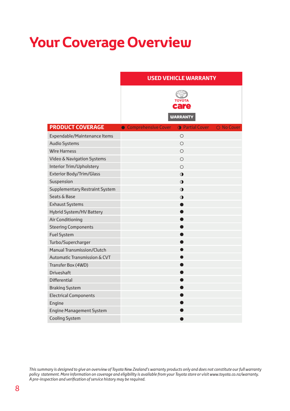# **Your Coverage Overview**

|                                   | <b>USED VEHICLE WARRANTY</b>                                  |  |
|-----------------------------------|---------------------------------------------------------------|--|
|                                   | <b>TOYOTA</b><br>care<br><b>WARRANTY</b>                      |  |
| <b>PRODUCT COVERAGE</b>           | O No Cover<br>• Comprehensive Cover<br><b>O</b> Partial Cover |  |
| Expendable/Maintenance Items      | $\circ$                                                       |  |
| <b>Audio Systems</b>              | О                                                             |  |
| <b>Wire Harness</b>               | Ο                                                             |  |
| Video & Navigation Systems        | $\circ$                                                       |  |
| Interior Trim/Upholstery          | $\circ$                                                       |  |
| Exterior Body/Trim/Glass          | $\bullet$                                                     |  |
| Suspension                        | $\bullet$                                                     |  |
| Supplementary Restraint System    | $\bullet$                                                     |  |
| Seats & Base                      | $\bullet$                                                     |  |
| <b>Exhaust Systems</b>            |                                                               |  |
| <b>Hybrid System/HV Battery</b>   | $\bullet$                                                     |  |
| Air Conditioning                  | $\bullet$                                                     |  |
| <b>Steering Components</b>        | $\bullet$                                                     |  |
| <b>Fuel System</b>                | ●                                                             |  |
| Turbo/Supercharger                | ●                                                             |  |
| <b>Manual Transmission/Clutch</b> | $\bullet$                                                     |  |
| Automatic Transmission & CVT      | $\bullet$                                                     |  |
| Transfer Box (4WD)                | ●                                                             |  |
| <b>Driveshaft</b>                 | 0                                                             |  |
| <b>Differential</b>               | $\bullet$                                                     |  |
| <b>Braking System</b>             | ●                                                             |  |
| <b>Electrical Components</b>      | ●                                                             |  |
| Engine                            |                                                               |  |
| <b>Engine Management System</b>   |                                                               |  |
| <b>Cooling System</b>             |                                                               |  |

This summary is designed to give an overview of Toyota New Zealand's warranty products only and does not constitute our full warranty<br>policy statement. More information on coverage and eligibility is available from your To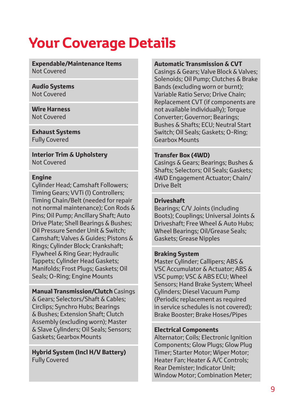# **Your Coverage Details**

**Expendable/Maintenance Items** Not Covered

**Audio Systems** Not Covered

**Wire Harness** Not Covered

**Exhaust Systems** Fully Covered

**Interior Trim & Upholstery** Not Covered

### **Engine**

Cylinder Head; Camshaft Followers; Timing Gears; VVTi (l) Controllers; Timing Chain/Belt (needed for repair not normal maintenance); Con Rods & Pins; Oil Pump; Ancillary Shaft; Auto Drive Plate; Shell Bearings & Bushes; Oil Pressure Sender Unit & Switch; Camshaft; Valves & Guides; Pistons & Rings; Cylinder Block; Crankshaft; Flywheel & Ring Gear; Hydraulic Tappets; Cylinder Head Gaskets; Manifolds; Frost Plugs; Gaskets; Oil Seals; O-Ring; Engine Mounts

**Manual Transmission/Clutch** Casings & Gears; Selectors/Shaft & Cables; Circlips; Synchro Hubs; Bearings & Bushes; Extension Shaft; Clutch Assembly (excluding worn); Master & Slave Cylinders; Oil Seals; Sensors; Gaskets; Gearbox Mounts

**Hybrid System (Incl H/V Battery)** Fully Covered

### **Automatic Transmission & CVT**

Casings & Gears; Valve Block & Valves; Solenoids; Oil Pump; Clutches & Brake Bands (excluding worn or burnt); Variable Ratio Servo; Drive Chain; Replacement CVT (if components are not available individually); Torque Converter; Governor; Bearings; Bushes & Shafts; ECU; Neutral Start Switch; Oil Seals; Gaskets; O-Ring; Gearbox Mounts

### **Transfer Box (4WD)**

Casings & Gears; Bearings; Bushes & Shafts; Selectors; Oil Seals; Gaskets; 4WD Engagement Actuator; Chain/ Drive Belt

## **Driveshaft**

Bearings; C/V Joints (including Boots); Couplings; Universal Joints & Driveshaft; Free Wheel & Auto Hubs; Wheel Bearings; Oil/Grease Seals; Gaskets; Grease Nipples

### **Braking System**

Master Cylinder; Callipers; ABS & VSC Accumulator & Actuator; ABS & VSC pump; VSC & ABS ECU; Wheel Sensors; Hand Brake System; Wheel Cylinders; Diesel Vacuum Pump (Periodic replacement as required in service schedules is not covered); Brake Booster; Brake Hoses/Pipes

### **Electrical Components**

Alternator; Coils; Electronic Ignition Components; Glow Plugs; Glow Plug Timer; Starter Motor; Wiper Motor; Heater Fan; Heater & A/C Controls; Rear Demister; Indicator Unit; Window Motor; Combination Meter;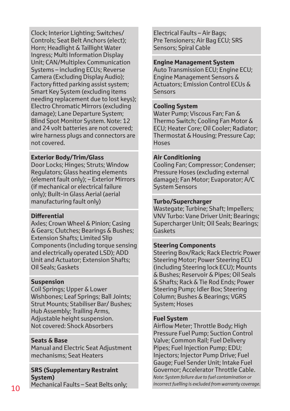Clock; Interior Lighting; Switches/ Controls; Seat Belt Anchors (elect); Horn; Headlight & Taillight Water Ingress; Multi Information Display Unit; CAN/Multiplex Communication Systems – including ECUs; Reverse Camera (Excluding Display Audio); Factory fitted parking assist system; Smart Key System (excluding items needing replacement due to lost keys); Electro Chromatic Mirrors (excluding damage); Lane Departure System; Blind Spot Monitor System. Note: 12 and 24 volt batteries are not covered; wire harness plugs and connectors are not covered.

## **Exterior Body/Trim/Glass**

Door Locks; Hinges; Struts; Window Regulators; Glass heating elements (element fault only); – Exterior Mirrors (if mechanical or electrical failure only); Built-in Glass Aerial (aerial manufacturing fault only)

### **Differential**

Axles; Crown Wheel & Pinion; Casing & Gears; Clutches; Bearings & Bushes; Extension Shafts; Limited Slip Components (including torque sensing and electrically operated LSD); ADD Unit and Actuator; Extension Shafts; Oil Seals; Gaskets

## **Suspension**

Coil Springs; Upper & Lower Wishbones; Leaf Springs; Ball Joints; Strut Mounts; Stabiliser Bar/ Bushes; Hub Assembly; Trailing Arms, Adjustable height suspension. Not covered: Shock Absorbers

## **Seats & Base**

Manual and Electric Seat Adjustment mechanisms; Seat Heaters

## **SRS (Supplementary Restraint System)**

Electrical Faults – Air Bags; Pre Tensioners; Air Bag ECU; SRS Sensors; Spiral Cable

#### **Engine Management System**

Auto Transmission ECU; Engine ECU; Engine Management Sensors & Actuators; Emission Control ECUs & Sensors

### **Cooling System**

Water Pump; Viscous Fan; Fan & Thermo Switch; Cooling Fan Motor & ECU; Heater Core; Oil Cooler; Radiator; Thermostat & Housing; Pressure Cap; Hoses

### **Air Conditioning**

Cooling Fan; Compressor; Condenser; Pressure Hoses (excluding external damage); Fan Motor; Evaporator; A/C System Sensors

### **Turbo/Supercharger**

Wastegate; Turbine; Shaft; Impellers; VNV Turbo: Vane Driver Unit; Bearings; Supercharger Unit; Oil Seals; Bearings; Gaskets

### **Steering Components**

Steering Box/Rack; Rack Electric Power Steering Motor; Power Steering ECU (including Steering lock ECU); Mounts & Bushes; Reservoir & Pipes; Oil Seals & Shafts; Rack & Tie Rod Ends; Power Steering Pump; Idler Box; Steering Column; Bushes & Bearings; VGRS System; Hoses

### **Fuel System**

Mechanical Faults – Seat Belts only; *incorrect fuelling is excluded from warranty coverage.* <sup>10</sup>Airflow Meter; Throttle Body; High Pressure Fuel Pump; Suction Control Valve; Common Rail; Fuel Delivery Pipes; Fuel Injection Pump; EDU; Injectors; Injector Pump Drive; Fuel Gauge; Fuel Sender Unit; Intake Fuel Governor; Accelerator Throttle Cable. *Note: System failure due to fuel contamination or*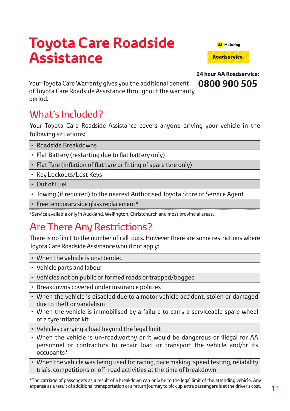# **Toyota Care Roadside Assistance**



**24 hour AA Roadservice: 0800 900 505**

Your Toyota Care Warranty gives you the additional benefit of Toyota Care Roadside Assistance throughout the warranty period.

# What's Included?

Your Toyota Care Roadside Assistance covers anyone driving your vehicle in the following situations:

- Roadside Breakdowns
- Flat Battery (restarting due to flat battery only)
- Flat Tyre (inflation of flat tyre or fitting of spare tyre only)
- Key Lockouts/Lost Keys
- Out of Fuel
- Towing (if required) to the nearest Authorised Toyota Store or Service Agent
- Free temporary side glass replacement\*

\*Service available only in Auckland, Wellington, Christchurch and most provincial areas.

## Are There Any Restrictions?

There is no limit to the number of call-outs. However there are some restrictions where Toyota Care Roadside Assistance would not apply:

- When the vehicle is unattended
- Vehicle parts and labour
- Vehicles not on public or formed roads or trapped/bogged
- Breakdowns covered under insurance policies
- When the vehicle is disabled due to a motor vehicle accident, stolen or damaged due to theft or vandalism
- When the vehicle is immobilised by a failure to carry a serviceable spare wheel or a tyre inflator kit
- Vehicles carrying a load beyond the legal limit
- When the vehicle is un-roadworthy or it would be dangerous or illegal for AA personnel or contractors to repair, load or transport the vehicle and/or its occupants\*
- When the vehicle was being used for racing, pace making, speed testing, reliability trials, competitions or off-road activities at the time of breakdown

\*The carriage of passengers as a result of a breakdown can only be to the legal limit of the attending vehicle. Any expense as a result of additional transportation or a return journey to pick up extra passengers is at the driver's cost.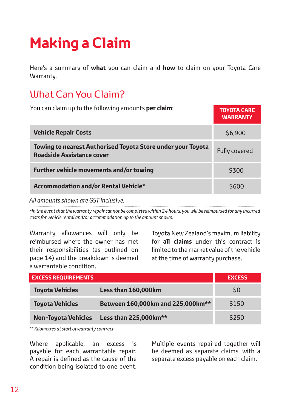# **Making a Claim**

Here's a summary of **what** you can claim and **how** to claim on your Toyota Care Warranty.

# What Can You Claim?

| You can claim up to the following amounts <b>per claim</b> :                                    | <b>TOYOTA CARE</b><br><b>WARRANTY</b> |
|-------------------------------------------------------------------------------------------------|---------------------------------------|
| <b>Vehicle Repair Costs</b>                                                                     | \$6,900                               |
| Towing to nearest Authorised Toyota Store under your Toyota<br><b>Roadside Assistance cover</b> | Fully covered                         |
| Further vehicle movements and/or towing                                                         | \$300                                 |
| Accommodation and/or Rental Vehicle*                                                            | \$600                                 |

*All amounts shown are GST inclusive.*

*\*In the event that the warranty repair cannot be completed within 24 hours, you will be reimbursed for any incurred costs for vehicle rental and/or accommodation up to the amount shown.*

Warranty allowances will only be reimbursed where the owner has met their responsibilities (as outlined on page 14) and the breakdown is deemed a warrantable condition.

Toyota New Zealand's maximum liability for **all claims** under this contract is limited to the market value of the vehicle at the time of warranty purchase.

| <b>EXCESS REQUIREMENTS</b> |                                   | <b>EXCESS</b> |
|----------------------------|-----------------------------------|---------------|
| <b>Toyota Vehicles</b>     | Less than 160,000km               | \$0           |
| <b>Toyota Vehicles</b>     | Between 160,000km and 225,000km** | \$150         |
| <b>Non-Toyota Vehicles</b> | Less than 225,000km**             | \$250         |

*\*\* Kilometres at start of warranty contract.*

Where applicable, an excess is payable for each warrantable repair. A repair is defined as the cause of the condition being isolated to one event.

Multiple events repaired together will be deemed as separate claims, with a separate excess payable on each claim.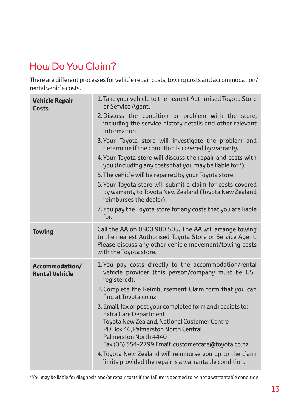# How Do You Claim?

There are different processes for vehicle repair costs, towing costs and accommodation/ rental vehicle costs.

| <b>Vehicle Repair</b><br><b>Costs</b>   | 1. Take your vehicle to the nearest Authorised Toyota Store<br>or Service Agent.                                                                                                                        |
|-----------------------------------------|---------------------------------------------------------------------------------------------------------------------------------------------------------------------------------------------------------|
|                                         | 2. Discuss the condition or problem with the store,<br>including the service history details and other relevant<br>information.                                                                         |
|                                         | 3. Your Toyota store will investigate the problem and<br>determine if the condition is covered by warranty.                                                                                             |
|                                         | 4. Your Toyota store will discuss the repair and costs with<br>you (including any costs that you may be liable for*).                                                                                   |
|                                         | 5. The vehicle will be repaired by your Toyota store.                                                                                                                                                   |
|                                         | 6. Your Toyota store will submit a claim for costs covered<br>by warranty to Toyota New Zealand (Toyota New Zealand<br>reimburses the dealer).                                                          |
|                                         | 7. You pay the Toyota store for any costs that you are liable<br>for.                                                                                                                                   |
| <b>Towing</b>                           | Call the AA on 0800 900 505. The AA will arrange towing<br>to the nearest Authorised Toyota Store or Service Agent.<br>Please discuss any other vehicle movement/towing costs<br>with the Toyota store. |
| Accommodation/<br><b>Rental Vehicle</b> | 1. You pay costs directly to the accommodation/rental<br>vehicle provider (this person/company must be GST<br>registered).                                                                              |
|                                         | 2. Complete the Reimbursement Claim form that you can<br>find at Toyota.co.nz.                                                                                                                          |
|                                         | 3. Email, fax or post your completed form and receipts to:<br><b>Extra Care Department</b>                                                                                                              |
|                                         | Toyota New Zealand, National Customer Centre<br>PO Box 46, Palmerston North Central                                                                                                                     |
|                                         | Palmerston North 4440<br>Fax (06) 354-2799 Email: customercare@toyota.co.nz.                                                                                                                            |
|                                         | 4. Toyota New Zealand will reimburse you up to the claim<br>limits provided the repair is a warrantable condition.                                                                                      |

\*You may be liable for diagnosis and/or repair costs if the failure is deemed to be not a warrantable condition.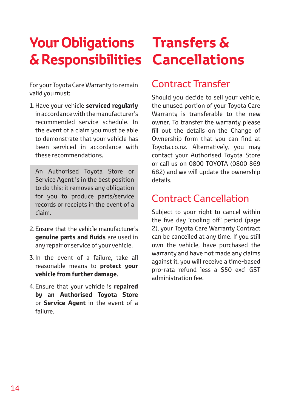# **Your Obligations Transfers & & Responsibilities Cancellations**

For your Toyota Care Warranty to remain valid you must:

1.Have your vehicle **serviced regularly** in accordance with the manufacturer's recommended service schedule. In the event of a claim you must be able to demonstrate that your vehicle has been serviced in accordance with these recommendations.

An Authorised Toyota Store or Service Agent is in the best position to do this; it removes any obligation for you to produce parts/service records or receipts in the event of a claim.

- 2.Ensure that the vehicle manufacturer's **genuine parts and fluids** are used in any repair or service of your vehicle.
- 3.In the event of a failure, take all reasonable means to **protect your vehicle from further damage**.
- 4.Ensure that your vehicle is **repaired by an Authorised Toyota Store** or **Service Agent** in the event of a failure.

## Contract Transfer

Should you decide to sell your vehicle, the unused portion of your Toyota Care Warranty is transferable to the new owner. To transfer the warranty please fill out the details on the Change of Ownership form that you can find at Toyota.co.nz. Alternatively, you may contact your Authorised Toyota Store or call us on 0800 TOYOTA (0800 869 682) and we will update the ownership details.

## Contract Cancellation

Subject to your right to cancel within the five day 'cooling off' period (page 2), your Toyota Care Warranty Contract can be cancelled at any time. If you still own the vehicle, have purchased the warranty and have not made any claims against it, you will receive a time-based pro-rata refund less a \$50 excl GST administration fee.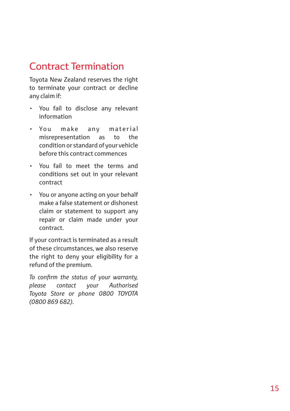# Contract Termination

Toyota New Zealand reserves the right to terminate your contract or decline any claim if:

- You fail to disclose any relevant information
- You make any material misrepresentation as to the condition or standard of your vehicle before this contract commences
- You fail to meet the terms and conditions set out in your relevant contract
- You or anyone acting on your behalf make a false statement or dishonest claim or statement to support any repair or claim made under your contract.

If your contract is terminated as a result of these circumstances, we also reserve the right to deny your eligibility for a refund of the premium.

*To confirm the status of your warranty, please contact your Authorised Toyota Store or phone 0800 TOYOTA (0800 869 682).*